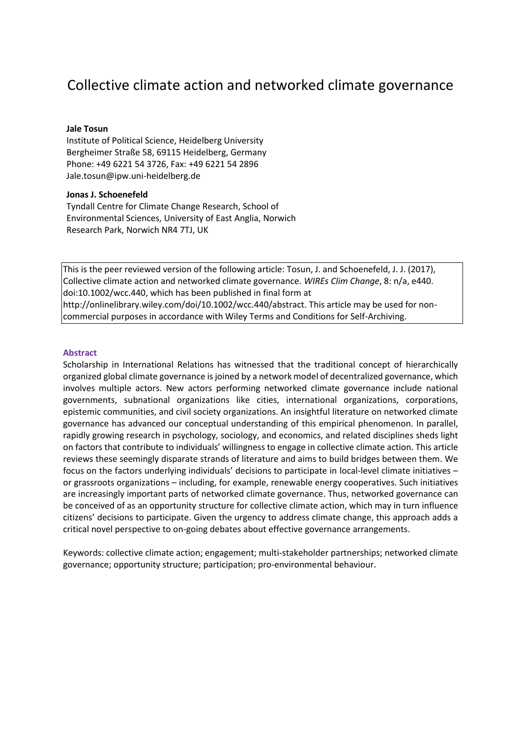# Collective climate action and networked climate governance

## **Jale Tosun**

Institute of Political Science, Heidelberg University Bergheimer Straße 58, 69115 Heidelberg, Germany Phone: +49 6221 54 3726, Fax: +49 6221 54 2896 Jale.tosun@ipw.uni-heidelberg.de

## **Jonas J. Schoenefeld**

Tyndall Centre for Climate Change Research, School of Environmental Sciences, University of East Anglia, Norwich Research Park, Norwich NR4 7TJ, UK

This is the peer reviewed version of the following article: Tosun, J. and Schoenefeld, J. J. (2017), Collective climate action and networked climate governance. *WIREs Clim Change*, 8: n/a, e440. doi:10.1002/wcc.440, which has been published in final form at http://onlinelibrary.wiley.com/doi/10.1002/wcc.440/abstract. This article may be used for noncommercial purposes in accordance with Wiley Terms and Conditions for Self-Archiving.

## **Abstract**

Scholarship in International Relations has witnessed that the traditional concept of hierarchically organized global climate governance is joined by a network model of decentralized governance, which involves multiple actors. New actors performing networked climate governance include national governments, subnational organizations like cities, international organizations, corporations, epistemic communities, and civil society organizations. An insightful literature on networked climate governance has advanced our conceptual understanding of this empirical phenomenon. In parallel, rapidly growing research in psychology, sociology, and economics, and related disciplines sheds light on factors that contribute to individuals' willingness to engage in collective climate action. This article reviews these seemingly disparate strands of literature and aims to build bridges between them. We focus on the factors underlying individuals' decisions to participate in local-level climate initiatives – or grassroots organizations – including, for example, renewable energy cooperatives. Such initiatives are increasingly important parts of networked climate governance. Thus, networked governance can be conceived of as an opportunity structure for collective climate action, which may in turn influence citizens' decisions to participate. Given the urgency to address climate change, this approach adds a critical novel perspective to on-going debates about effective governance arrangements.

Keywords: collective climate action; engagement; multi-stakeholder partnerships; networked climate governance; opportunity structure; participation; pro-environmental behaviour.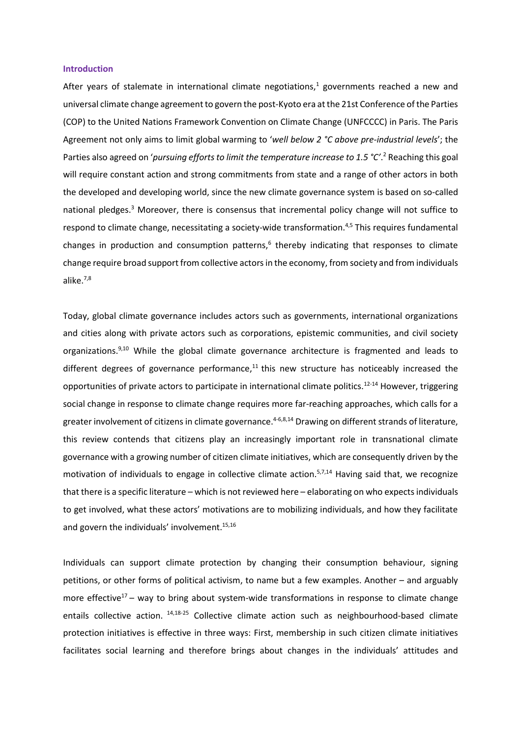#### **Introduction**

After years of stalemate in international climate negotiations,<sup>1</sup> governments reached a new and universal climate change agreement to govern the post-Kyoto era at the 21st Conference of the Parties (COP) to the United Nations Framework Convention on Climate Change (UNFCCCC) in Paris. The Paris Agreement not only aims to limit global warming to '*well below 2 °C above pre-industrial levels*'; the Parties also agreed on '*pursuing efforts to limit the temperature increase to 1.5 °C'*. <sup>2</sup> Reaching this goal will require constant action and strong commitments from state and a range of other actors in both the developed and developing world, since the new climate governance system is based on so-called national pledges. <sup>3</sup> Moreover, there is consensus that incremental policy change will not suffice to respond to climate change, necessitating a society-wide transformation.<sup>4,5</sup> This requires fundamental changes in production and consumption patterns,<sup>6</sup> thereby indicating that responses to climate change require broad support from collective actors in the economy, from society and from individuals alike.7,8

Today, global climate governance includes actors such as governments, international organizations and cities along with private actors such as corporations, epistemic communities, and civil society organizations.<sup>9,10</sup> While the global climate governance architecture is fragmented and leads to different degrees of governance performance,<sup>11</sup> this new structure has noticeably increased the opportunities of private actors to participate in international climate politics.<sup>12-14</sup> However, triggering social change in response to climate change requires more far-reaching approaches, which calls for a greater involvement of citizens in climate governance. 4-6,8,14 Drawing on different strands of literature, this review contends that citizens play an increasingly important role in transnational climate governance with a growing number of citizen climate initiatives, which are consequently driven by the motivation of individuals to engage in collective climate action.<sup>5,7,14</sup> Having said that, we recognize that there is a specific literature – which is not reviewed here – elaborating on who expects individuals to get involved, what these actors' motivations are to mobilizing individuals, and how they facilitate and govern the individuals' involvement.<sup>15,16</sup>

Individuals can support climate protection by changing their consumption behaviour, signing petitions, or other forms of political activism, to name but a few examples. Another – and arguably more effective $17$  – way to bring about system-wide transformations in response to climate change entails collective action. <sup>14,18-25</sup> Collective climate action such as neighbourhood-based climate protection initiatives is effective in three ways: First, membership in such citizen climate initiatives facilitates social learning and therefore brings about changes in the individuals' attitudes and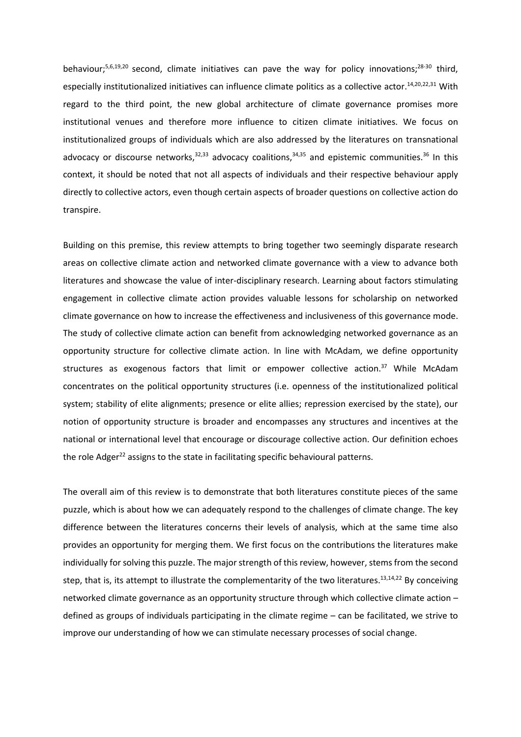behaviour;<sup>5,6,19,20</sup> second, climate initiatives can pave the way for policy innovations;<sup>28-30</sup> third, especially institutionalized initiatives can influence climate politics as a collective actor.<sup>14,20,22,31</sup> With regard to the third point, the new global architecture of climate governance promises more institutional venues and therefore more influence to citizen climate initiatives. We focus on institutionalized groups of individuals which are also addressed by the literatures on transnational advocacy or discourse networks,<sup>32,33</sup> advocacy coalitions,<sup>34,35</sup> and epistemic communities.<sup>36</sup> In this context, it should be noted that not all aspects of individuals and their respective behaviour apply directly to collective actors, even though certain aspects of broader questions on collective action do transpire.

Building on this premise, this review attempts to bring together two seemingly disparate research areas on collective climate action and networked climate governance with a view to advance both literatures and showcase the value of inter-disciplinary research. Learning about factors stimulating engagement in collective climate action provides valuable lessons for scholarship on networked climate governance on how to increase the effectiveness and inclusiveness of this governance mode. The study of collective climate action can benefit from acknowledging networked governance as an opportunity structure for collective climate action. In line with McAdam, we define opportunity structures as exogenous factors that limit or empower collective action.<sup>37</sup> While McAdam concentrates on the political opportunity structures (i.e. openness of the institutionalized political system; stability of elite alignments; presence or elite allies; repression exercised by the state), our notion of opportunity structure is broader and encompasses any structures and incentives at the national or international level that encourage or discourage collective action. Our definition echoes the role Adger<sup>22</sup> assigns to the state in facilitating specific behavioural patterns.

The overall aim of this review is to demonstrate that both literatures constitute pieces of the same puzzle, which is about how we can adequately respond to the challenges of climate change. The key difference between the literatures concerns their levels of analysis, which at the same time also provides an opportunity for merging them. We first focus on the contributions the literatures make individually for solving this puzzle. The major strength of this review, however, stems from the second step, that is, its attempt to illustrate the complementarity of the two literatures.<sup>13,14,22</sup> By conceiving networked climate governance as an opportunity structure through which collective climate action – defined as groups of individuals participating in the climate regime – can be facilitated, we strive to improve our understanding of how we can stimulate necessary processes of social change.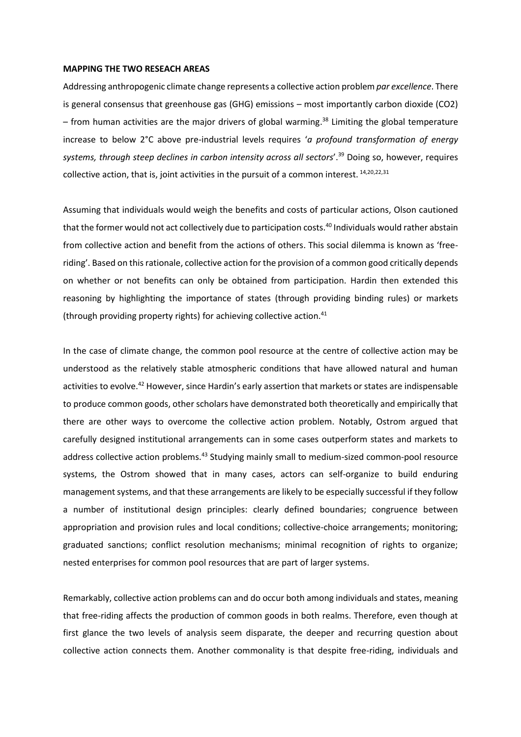#### **MAPPING THE TWO RESEACH AREAS**

Addressing anthropogenic climate change represents a collective action problem *par excellence*. There is general consensus that greenhouse gas (GHG) emissions – most importantly carbon dioxide (CO2) – from human activities are the major drivers of global warming. 38 Limiting the global temperature increase to below 2°C above pre-industrial levels requires '*a profound transformation of energy systems, through steep declines in carbon intensity across all sectors*'. <sup>39</sup> Doing so, however, requires collective action, that is, joint activities in the pursuit of a common interest. <sup>14,20,22,31</sup>

Assuming that individuals would weigh the benefits and costs of particular actions, Olson cautioned that the former would not act collectively due to participation costs. <sup>40</sup> Individuals would rather abstain from collective action and benefit from the actions of others. This social dilemma is known as 'freeriding'. Based on this rationale, collective action for the provision of a common good critically depends on whether or not benefits can only be obtained from participation. Hardin then extended this reasoning by highlighting the importance of states (through providing binding rules) or markets (through providing property rights) for achieving collective action.<sup>41</sup>

In the case of climate change, the common pool resource at the centre of collective action may be understood as the relatively stable atmospheric conditions that have allowed natural and human activities to evolve.<sup>42</sup> However, since Hardin's early assertion that markets or states are indispensable to produce common goods, other scholars have demonstrated both theoretically and empirically that there are other ways to overcome the collective action problem. Notably, Ostrom argued that carefully designed institutional arrangements can in some cases outperform states and markets to address collective action problems.<sup>43</sup> Studying mainly small to medium-sized common-pool resource systems, the Ostrom showed that in many cases, actors can self-organize to build enduring management systems, and that these arrangements are likely to be especially successful if they follow a number of institutional design principles: clearly defined boundaries; congruence between appropriation and provision rules and local conditions; collective-choice arrangements; monitoring; graduated sanctions; conflict resolution mechanisms; minimal recognition of rights to organize; nested enterprises for common pool resources that are part of larger systems.

Remarkably, collective action problems can and do occur both among individuals and states, meaning that free-riding affects the production of common goods in both realms. Therefore, even though at first glance the two levels of analysis seem disparate, the deeper and recurring question about collective action connects them. Another commonality is that despite free-riding, individuals and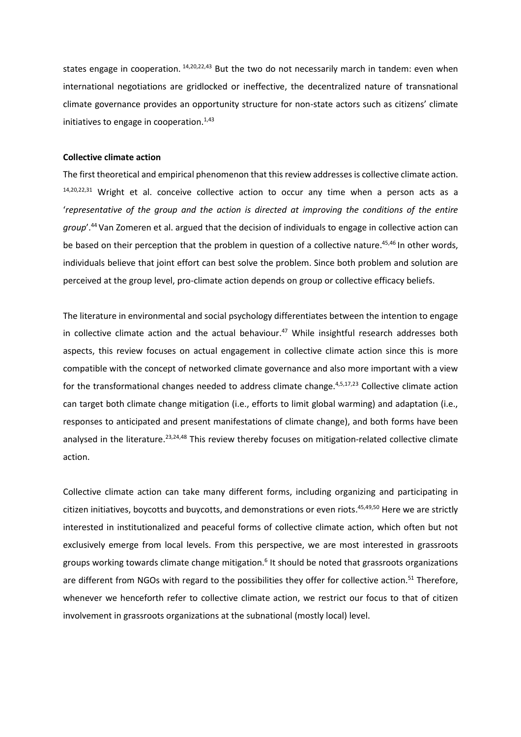states engage in cooperation. <sup>14,20,22,43</sup> But the two do not necessarily march in tandem: even when international negotiations are gridlocked or ineffective, the decentralized nature of transnational climate governance provides an opportunity structure for non-state actors such as citizens' climate initiatives to engage in cooperation. 1,43

## **Collective climate action**

The first theoretical and empirical phenomenon that this review addressesis collective climate action.  $14,20,22,31$  Wright et al. conceive collective action to occur any time when a person acts as a '*representative of the group and the action is directed at improving the conditions of the entire group*'. <sup>44</sup> Van Zomeren et al. argued that the decision of individuals to engage in collective action can be based on their perception that the problem in question of a collective nature. 45,46 In other words, individuals believe that joint effort can best solve the problem. Since both problem and solution are perceived at the group level, pro-climate action depends on group or collective efficacy beliefs.

The literature in environmental and social psychology differentiates between the intention to engage in collective climate action and the actual behaviour. <sup>47</sup> While insightful research addresses both aspects, this review focuses on actual engagement in collective climate action since this is more compatible with the concept of networked climate governance and also more important with a view for the transformational changes needed to address climate change.<sup>4,5,17,23</sup> Collective climate action can target both climate change mitigation (i.e., efforts to limit global warming) and adaptation (i.e., responses to anticipated and present manifestations of climate change), and both forms have been analysed in the literature.<sup>23,24,48</sup> This review thereby focuses on mitigation-related collective climate action.

Collective climate action can take many different forms, including organizing and participating in citizen initiatives, boycotts and buycotts, and demonstrations or even riots. 45,49,50 Here we are strictly interested in institutionalized and peaceful forms of collective climate action, which often but not exclusively emerge from local levels. From this perspective, we are most interested in grassroots groups working towards climate change mitigation.<sup>6</sup> It should be noted that grassroots organizations are different from NGOs with regard to the possibilities they offer for collective action.<sup>51</sup> Therefore, whenever we henceforth refer to collective climate action, we restrict our focus to that of citizen involvement in grassroots organizations at the subnational (mostly local) level.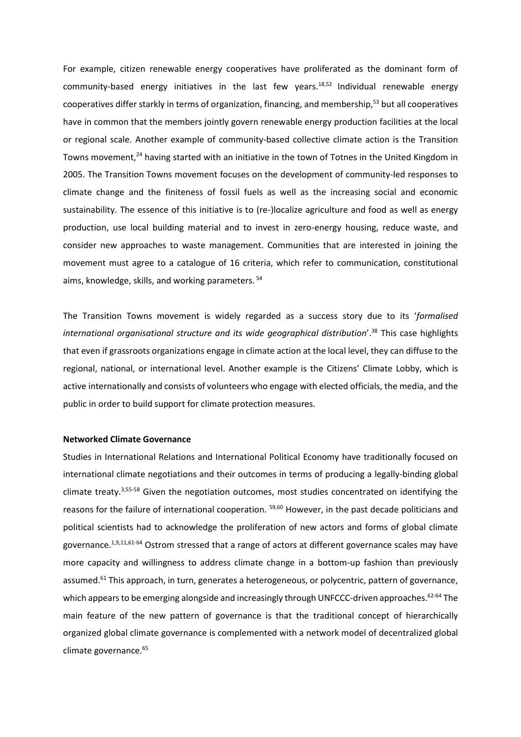For example, citizen renewable energy cooperatives have proliferated as the dominant form of community-based energy initiatives in the last few years. 18,52 Individual renewable energy cooperatives differ starkly in terms of organization, financing, and membership,<sup>53</sup> but all cooperatives have in common that the members jointly govern renewable energy production facilities at the local or regional scale. Another example of community-based collective climate action is the Transition Towns movement,<sup>24</sup> having started with an initiative in the town of Totnes in the United Kingdom in 2005. The Transition Towns movement focuses on the development of community-led responses to climate change and the finiteness of fossil fuels as well as the increasing social and economic sustainability. The essence of this initiative is to (re-)localize agriculture and food as well as energy production, use local building material and to invest in zero-energy housing, reduce waste, and consider new approaches to waste management. Communities that are interested in joining the movement must agree to a catalogue of 16 criteria, which refer to communication, constitutional aims, knowledge, skills, and working parameters. <sup>54</sup>

The Transition Towns movement is widely regarded as a success story due to its '*formalised international organisational structure and its wide geographical distribution*'.<sup>38</sup> This case highlights that even if grassroots organizations engage in climate action at the local level, they can diffuse to the regional, national, or international level. Another example is the Citizens' Climate Lobby, which is active internationally and consists of volunteers who engage with elected officials, the media, and the public in order to build support for climate protection measures.

## **Networked Climate Governance**

Studies in International Relations and International Political Economy have traditionally focused on international climate negotiations and their outcomes in terms of producing a legally-binding global climate treaty.3,55-58 Given the negotiation outcomes, most studies concentrated on identifying the reasons for the failure of international cooperation. <sup>59,60</sup> However, in the past decade politicians and political scientists had to acknowledge the proliferation of new actors and forms of global climate governance.<sup>1,9,11,61-64</sup> Ostrom stressed that a range of actors at different governance scales may have more capacity and willingness to address climate change in a bottom-up fashion than previously assumed.<sup>61</sup> This approach, in turn, generates a heterogeneous, or polycentric, pattern of governance, which appears to be emerging alongside and increasingly through UNFCCC-driven approaches.<sup>62-64</sup> The main feature of the new pattern of governance is that the traditional concept of hierarchically organized global climate governance is complemented with a network model of decentralized global climate governance.<sup>65</sup>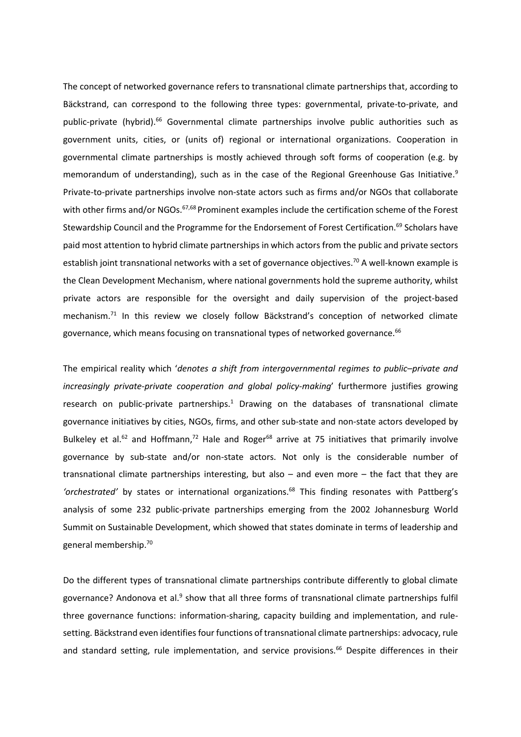The concept of networked governance refers to transnational climate partnerships that, according to Bäckstrand, can correspond to the following three types: governmental, private-to-private, and public-private (hybrid).<sup>66</sup> Governmental climate partnerships involve public authorities such as government units, cities, or (units of) regional or international organizations. Cooperation in governmental climate partnerships is mostly achieved through soft forms of cooperation (e.g. by memorandum of understanding), such as in the case of the Regional Greenhouse Gas Initiative. 9 Private-to-private partnerships involve non-state actors such as firms and/or NGOs that collaborate with other firms and/or NGOs.<sup>67,68</sup> Prominent examples include the certification scheme of the Forest Stewardship Council and the Programme for the Endorsement of Forest Certification. <sup>69</sup> Scholars have paid most attention to hybrid climate partnerships in which actors from the public and private sectors establish joint transnational networks with a set of governance objectives. <sup>70</sup> A well-known example is the Clean Development Mechanism, where national governments hold the supreme authority, whilst private actors are responsible for the oversight and daily supervision of the project-based mechanism.<sup>71</sup> In this review we closely follow Bäckstrand's conception of networked climate governance, which means focusing on transnational types of networked governance.<sup>66</sup>

The empirical reality which '*denotes a shift from intergovernmental regimes to public–private and increasingly private-private cooperation and global policy-making*' furthermore justifies growing research on public-private partnerships. $1$  Drawing on the databases of transnational climate governance initiatives by cities, NGOs, firms, and other sub-state and non-state actors developed by Bulkeley et al.<sup>62</sup> and Hoffmann,<sup>72</sup> Hale and Roger<sup>68</sup> arrive at 75 initiatives that primarily involve governance by sub-state and/or non-state actors. Not only is the considerable number of transnational climate partnerships interesting, but also – and even more – the fact that they are '*orchestrated'* by states or international organizations.<sup>68</sup> This finding resonates with Pattberg's analysis of some 232 public-private partnerships emerging from the 2002 Johannesburg World Summit on Sustainable Development, which showed that states dominate in terms of leadership and general membership.<sup>70</sup>

Do the different types of transnational climate partnerships contribute differently to global climate governance? Andonova et al.<sup>9</sup> show that all three forms of transnational climate partnerships fulfil three governance functions: information-sharing, capacity building and implementation, and rulesetting. Bäckstrand even identifies four functions of transnational climate partnerships: advocacy, rule and standard setting, rule implementation, and service provisions.<sup>66</sup> Despite differences in their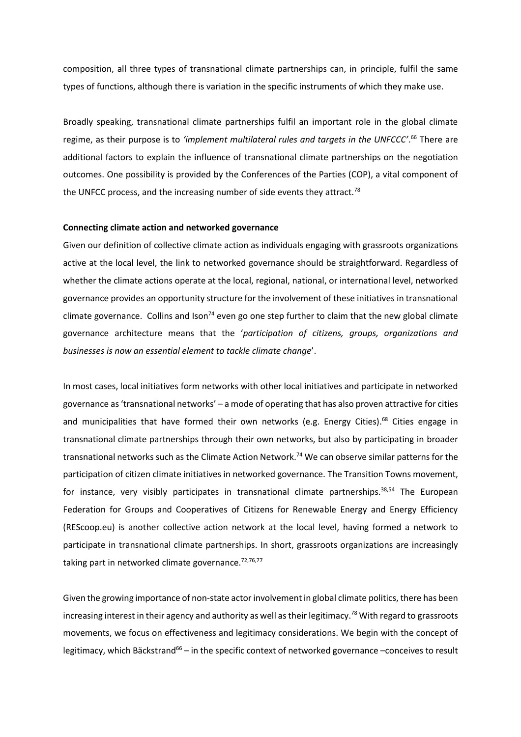composition, all three types of transnational climate partnerships can, in principle, fulfil the same types of functions, although there is variation in the specific instruments of which they make use.

Broadly speaking, transnational climate partnerships fulfil an important role in the global climate regime, as their purpose is to *'implement multilateral rules and targets in the UNFCCC'*. <sup>66</sup> There are additional factors to explain the influence of transnational climate partnerships on the negotiation outcomes. One possibility is provided by the Conferences of the Parties (COP), a vital component of the UNFCC process, and the increasing number of side events they attract.<sup>78</sup>

### **Connecting climate action and networked governance**

Given our definition of collective climate action as individuals engaging with grassroots organizations active at the local level, the link to networked governance should be straightforward. Regardless of whether the climate actions operate at the local, regional, national, or international level, networked governance provides an opportunity structure for the involvement of these initiatives in transnational climate governance. Collins and Ison<sup>74</sup> even go one step further to claim that the new global climate governance architecture means that the '*participation of citizens, groups, organizations and businesses is now an essential element to tackle climate change*'.

In most cases, local initiatives form networks with other local initiatives and participate in networked governance as 'transnational networks' – a mode of operating that has also proven attractive for cities and municipalities that have formed their own networks (e.g. Energy Cities).<sup>68</sup> Cities engage in transnational climate partnerships through their own networks, but also by participating in broader transnational networks such as the Climate Action Network.<sup>74</sup> We can observe similar patterns for the participation of citizen climate initiatives in networked governance. The Transition Towns movement, for instance, very visibly participates in transnational climate partnerships.<sup>38,54</sup> The European Federation for Groups and Cooperatives of Citizens for Renewable Energy and Energy Efficiency (REScoop.eu) is another collective action network at the local level, having formed a network to participate in transnational climate partnerships. In short, grassroots organizations are increasingly taking part in networked climate governance.<sup>72,76,77</sup>

Given the growing importance of non-state actor involvement in global climate politics, there has been increasing interest in their agency and authority as well as their legitimacy.<sup>78</sup> With regard to grassroots movements, we focus on effectiveness and legitimacy considerations. We begin with the concept of legitimacy, which Bäckstrand<sup>66</sup> – in the specific context of networked governance –conceives to result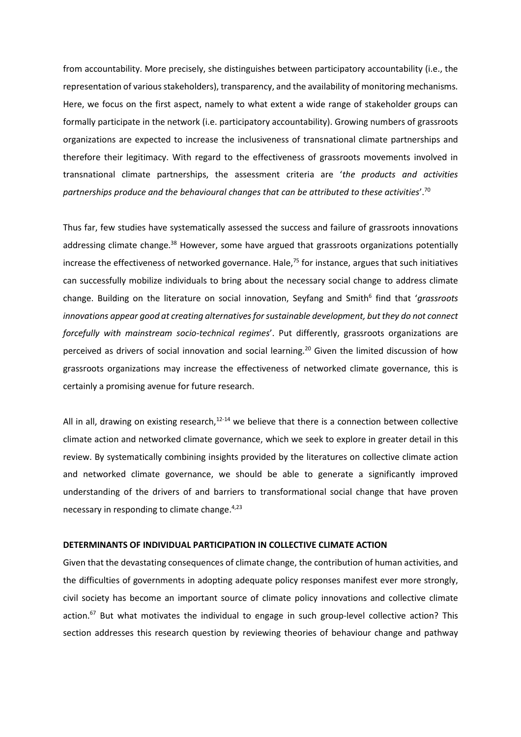from accountability. More precisely, she distinguishes between participatory accountability (i.e., the representation of various stakeholders), transparency, and the availability of monitoring mechanisms. Here, we focus on the first aspect, namely to what extent a wide range of stakeholder groups can formally participate in the network (i.e. participatory accountability). Growing numbers of grassroots organizations are expected to increase the inclusiveness of transnational climate partnerships and therefore their legitimacy. With regard to the effectiveness of grassroots movements involved in transnational climate partnerships, the assessment criteria are '*the products and activities partnerships produce and the behavioural changes that can be attributed to these activities*'. 70

Thus far, few studies have systematically assessed the success and failure of grassroots innovations addressing climate change.<sup>38</sup> However, some have argued that grassroots organizations potentially increase the effectiveness of networked governance. Hale, $75$  for instance, argues that such initiatives can successfully mobilize individuals to bring about the necessary social change to address climate change. Building on the literature on social innovation, Seyfang and Smith<sup>6</sup> find that 'grassroots *innovations appear good at creating alternatives for sustainable development, but they do not connect forcefully with mainstream socio-technical regimes*'. Put differently, grassroots organizations are perceived as drivers of social innovation and social learning.<sup>20</sup> Given the limited discussion of how grassroots organizations may increase the effectiveness of networked climate governance, this is certainly a promising avenue for future research.

All in all, drawing on existing research, $12-14$  we believe that there is a connection between collective climate action and networked climate governance, which we seek to explore in greater detail in this review. By systematically combining insights provided by the literatures on collective climate action and networked climate governance, we should be able to generate a significantly improved understanding of the drivers of and barriers to transformational social change that have proven necessary in responding to climate change.<sup>4,23</sup>

#### **DETERMINANTS OF INDIVIDUAL PARTICIPATION IN COLLECTIVE CLIMATE ACTION**

Given that the devastating consequences of climate change, the contribution of human activities, and the difficulties of governments in adopting adequate policy responses manifest ever more strongly, civil society has become an important source of climate policy innovations and collective climate action.<sup>67</sup> But what motivates the individual to engage in such group-level collective action? This section addresses this research question by reviewing theories of behaviour change and pathway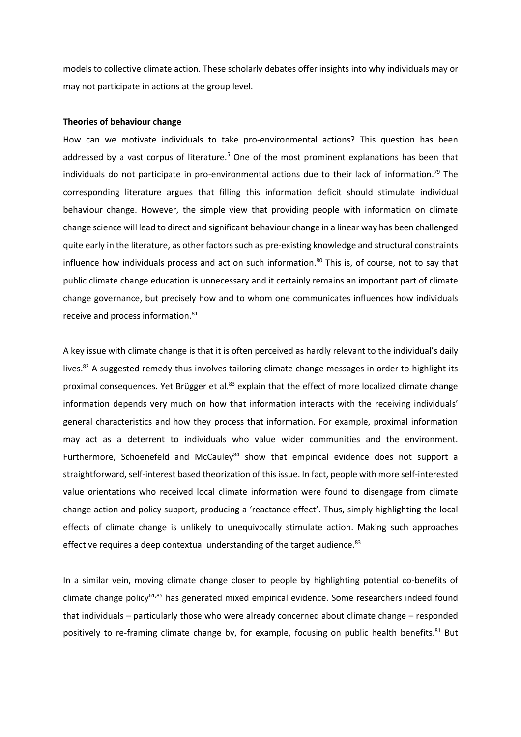models to collective climate action. These scholarly debates offer insights into why individuals may or may not participate in actions at the group level.

#### **Theories of behaviour change**

How can we motivate individuals to take pro-environmental actions? This question has been addressed by a vast corpus of literature.<sup>5</sup> One of the most prominent explanations has been that individuals do not participate in pro-environmental actions due to their lack of information. <sup>79</sup> The corresponding literature argues that filling this information deficit should stimulate individual behaviour change. However, the simple view that providing people with information on climate change science will lead to direct and significant behaviour change in a linear way has been challenged quite early in the literature, as other factors such as pre-existing knowledge and structural constraints influence how individuals process and act on such information. <sup>80</sup> This is, of course, not to say that public climate change education is unnecessary and it certainly remains an important part of climate change governance, but precisely how and to whom one communicates influences how individuals receive and process information.<sup>81</sup>

A key issue with climate change is that it is often perceived as hardly relevant to the individual's daily lives.<sup>82</sup> A suggested remedy thus involves tailoring climate change messages in order to highlight its proximal consequences. Yet Brügger et al.<sup>83</sup> explain that the effect of more localized climate change information depends very much on how that information interacts with the receiving individuals' general characteristics and how they process that information. For example, proximal information may act as a deterrent to individuals who value wider communities and the environment. Furthermore, Schoenefeld and McCauley $84$  show that empirical evidence does not support a straightforward, self-interest based theorization of this issue. In fact, people with more self-interested value orientations who received local climate information were found to disengage from climate change action and policy support, producing a 'reactance effect'. Thus, simply highlighting the local effects of climate change is unlikely to unequivocally stimulate action. Making such approaches effective requires a deep contextual understanding of the target audience.<sup>83</sup>

In a similar vein, moving climate change closer to people by highlighting potential co-benefits of climate change policy<sup>61,85</sup> has generated mixed empirical evidence. Some researchers indeed found that individuals – particularly those who were already concerned about climate change – responded positively to re-framing climate change by, for example, focusing on public health benefits.<sup>81</sup> But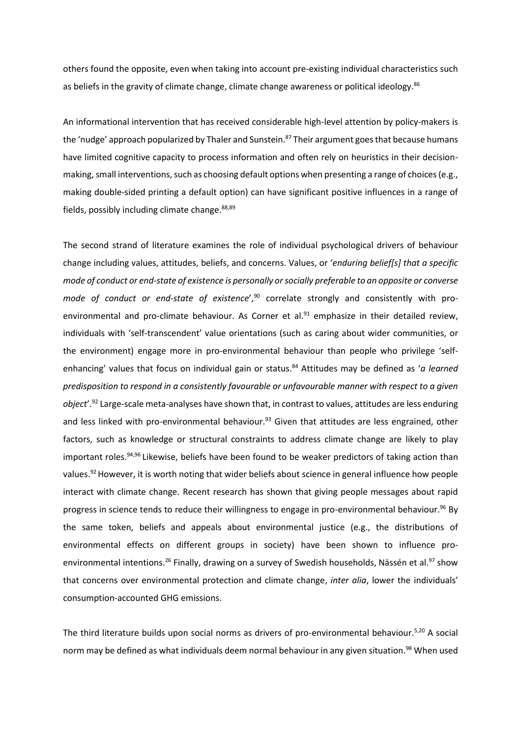others found the opposite, even when taking into account pre-existing individual characteristics such as beliefs in the gravity of climate change, climate change awareness or political ideology.<sup>86</sup>

An informational intervention that has received considerable high-level attention by policy-makers is the 'nudge' approach popularized by Thaler and Sunstein.<sup>87</sup> Their argument goes that because humans have limited cognitive capacity to process information and often rely on heuristics in their decisionmaking, small interventions, such as choosing default options when presenting a range of choices (e.g., making double-sided printing a default option) can have significant positive influences in a range of fields, possibly including climate change. 88,89

The second strand of literature examines the role of individual psychological drivers of behaviour change including values, attitudes, beliefs, and concerns. Values, or '*enduring belief[s] that a specific mode of conduct or end-state of existence is personally or socially preferable to an opposite or converse mode of conduct or end-state of existence*', <sup>90</sup> correlate strongly and consistently with proenvironmental and pro-climate behaviour. As Corner et al.<sup>91</sup> emphasize in their detailed review, individuals with 'self-transcendent' value orientations (such as caring about wider communities, or the environment) engage more in pro-environmental behaviour than people who privilege 'selfenhancing' values that focus on individual gain or status.<sup>84</sup> Attitudes may be defined as '*a learned predisposition to respond in a consistently favourable or unfavourable manner with respect to a given object*'. <sup>92</sup> Large-scale meta-analyses have shown that, in contrast to values, attitudes are less enduring and less linked with pro-environmental behaviour.<sup>93</sup> Given that attitudes are less engrained, other factors, such as knowledge or structural constraints to address climate change are likely to play important roles. 94,96 Likewise, beliefs have been found to be weaker predictors of taking action than values.<sup>92</sup> However, it is worth noting that wider beliefs about science in general influence how people interact with climate change. Recent research has shown that giving people messages about rapid progress in science tends to reduce their willingness to engage in pro-environmental behaviour. <sup>96</sup> By the same token, beliefs and appeals about environmental justice (e.g., the distributions of environmental effects on different groups in society) have been shown to influence proenvironmental intentions.<sup>26</sup> Finally, drawing on a survey of Swedish households, Nässén et al.<sup>97</sup> show that concerns over environmental protection and climate change, *inter alia*, lower the individuals' consumption-accounted GHG emissions.

The third literature builds upon social norms as drivers of pro-environmental behaviour.<sup>5,20</sup> A social norm may be defined as what individuals deem normal behaviour in any given situation.<sup>98</sup> When used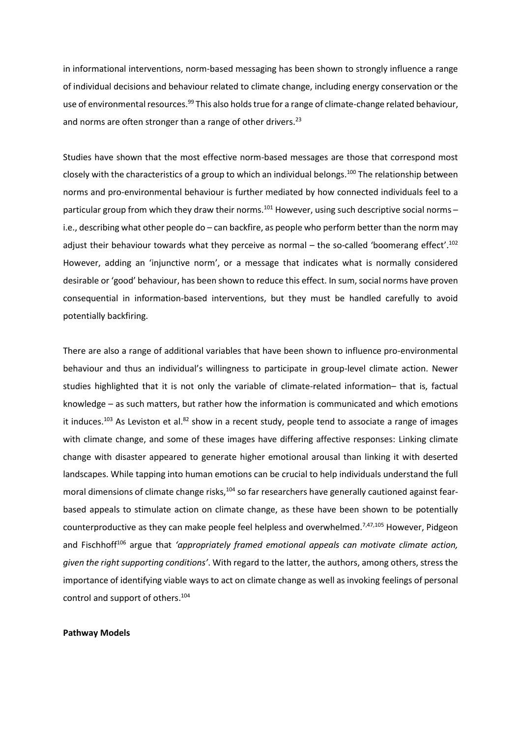in informational interventions, norm-based messaging has been shown to strongly influence a range of individual decisions and behaviour related to climate change, including energy conservation or the use of environmental resources.<sup>99</sup> This also holds true for a range of climate-change related behaviour, and norms are often stronger than a range of other drivers. $^{23}$ 

Studies have shown that the most effective norm-based messages are those that correspond most closely with the characteristics of a group to which an individual belongs.<sup>100</sup> The relationship between norms and pro-environmental behaviour is further mediated by how connected individuals feel to a particular group from which they draw their norms.<sup>101</sup> However, using such descriptive social norms – i.e., describing what other people do - can backfire, as people who perform better than the norm may adjust their behaviour towards what they perceive as normal – the so-called 'boomerang effect'.<sup>102</sup> However, adding an 'injunctive norm', or a message that indicates what is normally considered desirable or 'good' behaviour, has been shown to reduce this effect. In sum, social norms have proven consequential in information-based interventions, but they must be handled carefully to avoid potentially backfiring.

There are also a range of additional variables that have been shown to influence pro-environmental behaviour and thus an individual's willingness to participate in group-level climate action. Newer studies highlighted that it is not only the variable of climate-related information– that is, factual knowledge – as such matters, but rather how the information is communicated and which emotions it induces.<sup>103</sup> As Leviston et al.<sup>82</sup> show in a recent study, people tend to associate a range of images with climate change, and some of these images have differing affective responses: Linking climate change with disaster appeared to generate higher emotional arousal than linking it with deserted landscapes. While tapping into human emotions can be crucial to help individuals understand the full moral dimensions of climate change risks,<sup>104</sup> so far researchers have generally cautioned against fearbased appeals to stimulate action on climate change, as these have been shown to be potentially counterproductive as they can make people feel helpless and overwhelmed.<sup>7,47,105</sup> However, Pidgeon and Fischhoff<sup>106</sup> argue that 'appropriately framed emotional appeals can motivate climate action, *given the right supporting conditions'*. With regard to the latter, the authors, among others, stress the importance of identifying viable ways to act on climate change as well as invoking feelings of personal control and support of others. 104

#### **Pathway Models**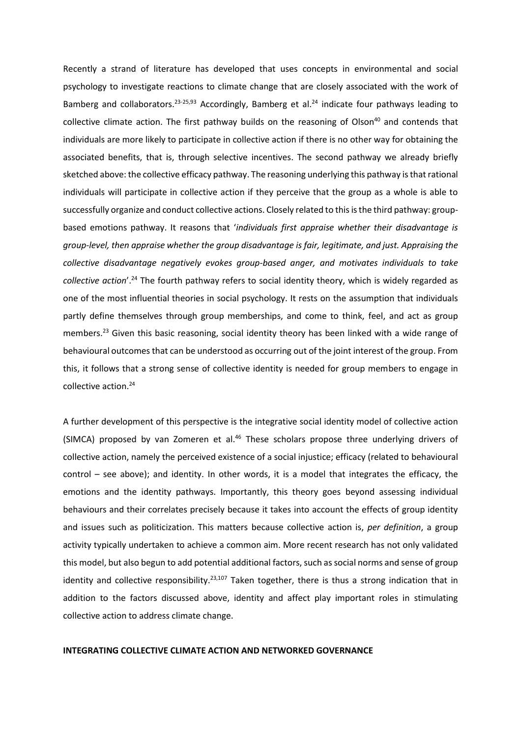Recently a strand of literature has developed that uses concepts in environmental and social psychology to investigate reactions to climate change that are closely associated with the work of Bamberg and collaborators.<sup>23-25,93</sup> Accordingly, Bamberg et al.<sup>24</sup> indicate four pathways leading to collective climate action. The first pathway builds on the reasoning of Olson<sup>40</sup> and contends that individuals are more likely to participate in collective action if there is no other way for obtaining the associated benefits, that is, through selective incentives. The second pathway we already briefly sketched above: the collective efficacy pathway. The reasoning underlying this pathway is that rational individuals will participate in collective action if they perceive that the group as a whole is able to successfully organize and conduct collective actions. Closely related to this is the third pathway: groupbased emotions pathway. It reasons that '*individuals first appraise whether their disadvantage is group-level, then appraise whether the group disadvantage is fair, legitimate, and just. Appraising the collective disadvantage negatively evokes group-based anger, and motivates individuals to take collective action*'.<sup>24</sup> The fourth pathway refers to social identity theory, which is widely regarded as one of the most influential theories in social psychology. It rests on the assumption that individuals partly define themselves through group memberships, and come to think, feel, and act as group members. <sup>23</sup> Given this basic reasoning, social identity theory has been linked with a wide range of behavioural outcomes that can be understood as occurring out of the joint interest of the group. From this, it follows that a strong sense of collective identity is needed for group members to engage in collective action. 24

A further development of this perspective is the integrative social identity model of collective action (SIMCA) proposed by van Zomeren et al.<sup>46</sup> These scholars propose three underlying drivers of collective action, namely the perceived existence of a social injustice; efficacy (related to behavioural control – see above); and identity. In other words, it is a model that integrates the efficacy, the emotions and the identity pathways. Importantly, this theory goes beyond assessing individual behaviours and their correlates precisely because it takes into account the effects of group identity and issues such as politicization. This matters because collective action is, *per definition*, a group activity typically undertaken to achieve a common aim. More recent research has not only validated this model, but also begun to add potential additional factors, such as social norms and sense of group identity and collective responsibility.<sup>23,107</sup> Taken together, there is thus a strong indication that in addition to the factors discussed above, identity and affect play important roles in stimulating collective action to address climate change.

#### **INTEGRATING COLLECTIVE CLIMATE ACTION AND NETWORKED GOVERNANCE**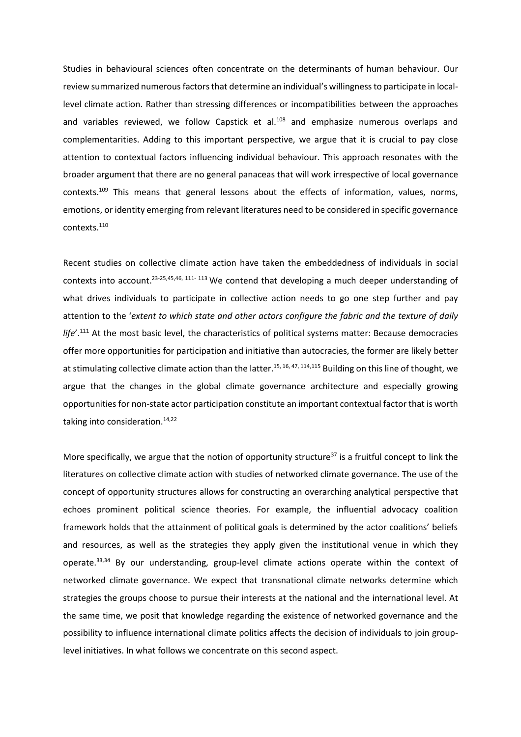Studies in behavioural sciences often concentrate on the determinants of human behaviour. Our review summarized numerous factors that determine an individual's willingness to participate in locallevel climate action. Rather than stressing differences or incompatibilities between the approaches and variables reviewed, we follow Capstick et al.<sup>108</sup> and emphasize numerous overlaps and complementarities. Adding to this important perspective, we argue that it is crucial to pay close attention to contextual factors influencing individual behaviour. This approach resonates with the broader argument that there are no general panaceas that will work irrespective of local governance contexts.<sup>109</sup> This means that general lessons about the effects of information, values, norms, emotions, or identity emerging from relevant literatures need to be considered in specific governance contexts. 110

Recent studies on collective climate action have taken the embeddedness of individuals in social contexts into account.<sup>23-25,45,46, 111-113</sup> We contend that developing a much deeper understanding of what drives individuals to participate in collective action needs to go one step further and pay attention to the '*extent to which state and other actors configure the fabric and the texture of daily life*'. <sup>111</sup> At the most basic level, the characteristics of political systems matter: Because democracies offer more opportunities for participation and initiative than autocracies, the former are likely better at stimulating collective climate action than the latter.<sup>15, 16, 47, 114,115</sup> Building on this line of thought, we argue that the changes in the global climate governance architecture and especially growing opportunities for non-state actor participation constitute an important contextual factor that is worth taking into consideration.<sup>14,22</sup>

More specifically, we argue that the notion of opportunity structure<sup>37</sup> is a fruitful concept to link the literatures on collective climate action with studies of networked climate governance. The use of the concept of opportunity structures allows for constructing an overarching analytical perspective that echoes prominent political science theories. For example, the influential advocacy coalition framework holds that the attainment of political goals is determined by the actor coalitions' beliefs and resources, as well as the strategies they apply given the institutional venue in which they operate.33,34 By our understanding, group-level climate actions operate within the context of networked climate governance. We expect that transnational climate networks determine which strategies the groups choose to pursue their interests at the national and the international level. At the same time, we posit that knowledge regarding the existence of networked governance and the possibility to influence international climate politics affects the decision of individuals to join grouplevel initiatives. In what follows we concentrate on this second aspect.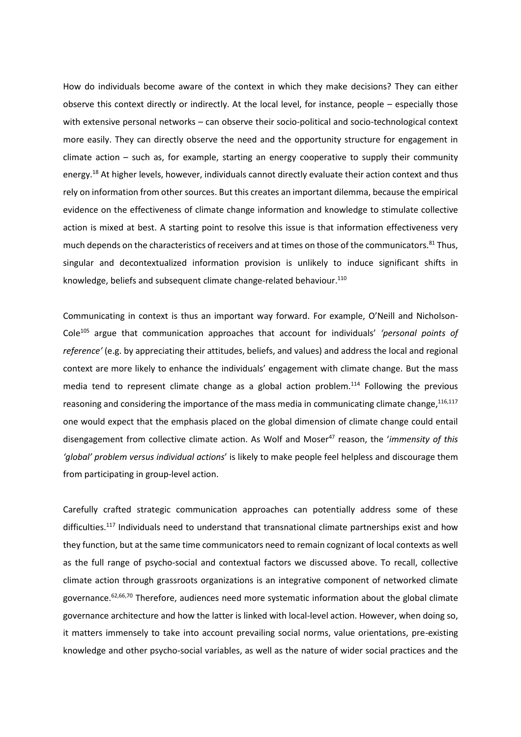How do individuals become aware of the context in which they make decisions? They can either observe this context directly or indirectly. At the local level, for instance, people – especially those with extensive personal networks – can observe their socio-political and socio-technological context more easily. They can directly observe the need and the opportunity structure for engagement in climate action – such as, for example, starting an energy cooperative to supply their community energy. <sup>18</sup> At higher levels, however, individuals cannot directly evaluate their action context and thus rely on information from other sources. But this creates an important dilemma, because the empirical evidence on the effectiveness of climate change information and knowledge to stimulate collective action is mixed at best. A starting point to resolve this issue is that information effectiveness very much depends on the characteristics of receivers and at times on those of the communicators.<sup>81</sup> Thus, singular and decontextualized information provision is unlikely to induce significant shifts in knowledge, beliefs and subsequent climate change-related behaviour. $^{110}$ 

Communicating in context is thus an important way forward. For example, O'Neill and Nicholson-Cole<sup>105</sup> argue that communication approaches that account for individuals' *'personal points of reference'* (e.g. by appreciating their attitudes, beliefs, and values) and address the local and regional context are more likely to enhance the individuals' engagement with climate change. But the mass media tend to represent climate change as a global action problem.<sup>114</sup> Following the previous reasoning and considering the importance of the mass media in communicating climate change,<sup>116,117</sup> one would expect that the emphasis placed on the global dimension of climate change could entail disengagement from collective climate action. As Wolf and Moser<sup>47</sup> reason, the 'immensity of this *'global' problem versus individual actions*' is likely to make people feel helpless and discourage them from participating in group-level action.

Carefully crafted strategic communication approaches can potentially address some of these difficulties.<sup>117</sup> Individuals need to understand that transnational climate partnerships exist and how they function, but at the same time communicators need to remain cognizant of local contexts as well as the full range of psycho-social and contextual factors we discussed above. To recall, collective climate action through grassroots organizations is an integrative component of networked climate governance.<sup>62,66,70</sup> Therefore, audiences need more systematic information about the global climate governance architecture and how the latter is linked with local-level action. However, when doing so, it matters immensely to take into account prevailing social norms, value orientations, pre-existing knowledge and other psycho-social variables, as well as the nature of wider social practices and the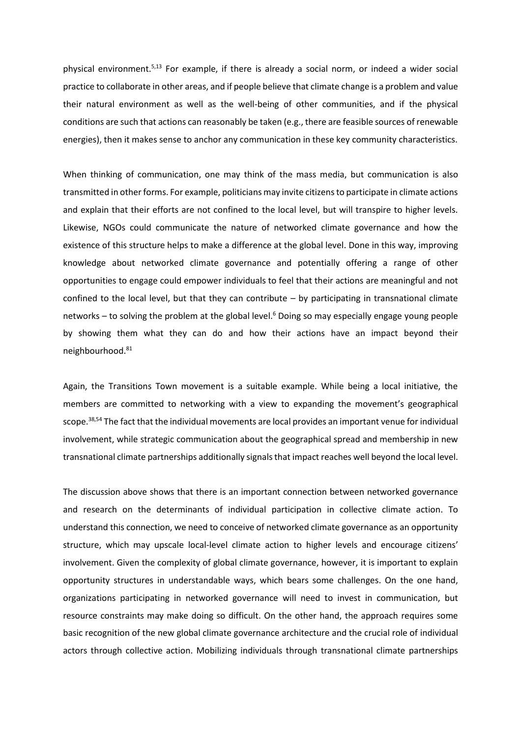physical environment.<sup>5,13</sup> For example, if there is already a social norm, or indeed a wider social practice to collaborate in other areas, and if people believe that climate change is a problem and value their natural environment as well as the well-being of other communities, and if the physical conditions are such that actions can reasonably be taken (e.g., there are feasible sources of renewable energies), then it makes sense to anchor any communication in these key community characteristics.

When thinking of communication, one may think of the mass media, but communication is also transmitted in other forms. For example, politicians may invite citizens to participate in climate actions and explain that their efforts are not confined to the local level, but will transpire to higher levels. Likewise, NGOs could communicate the nature of networked climate governance and how the existence of this structure helps to make a difference at the global level. Done in this way, improving knowledge about networked climate governance and potentially offering a range of other opportunities to engage could empower individuals to feel that their actions are meaningful and not confined to the local level, but that they can contribute – by participating in transnational climate networks – to solving the problem at the global level.<sup>6</sup> Doing so may especially engage young people by showing them what they can do and how their actions have an impact beyond their neighbourhood. 81

Again, the Transitions Town movement is a suitable example. While being a local initiative, the members are committed to networking with a view to expanding the movement's geographical scope. 38,54 The fact that the individual movements are local provides an important venue for individual involvement, while strategic communication about the geographical spread and membership in new transnational climate partnerships additionally signals that impact reaches well beyond the local level.

The discussion above shows that there is an important connection between networked governance and research on the determinants of individual participation in collective climate action. To understand this connection, we need to conceive of networked climate governance as an opportunity structure, which may upscale local-level climate action to higher levels and encourage citizens' involvement. Given the complexity of global climate governance, however, it is important to explain opportunity structures in understandable ways, which bears some challenges. On the one hand, organizations participating in networked governance will need to invest in communication, but resource constraints may make doing so difficult. On the other hand, the approach requires some basic recognition of the new global climate governance architecture and the crucial role of individual actors through collective action. Mobilizing individuals through transnational climate partnerships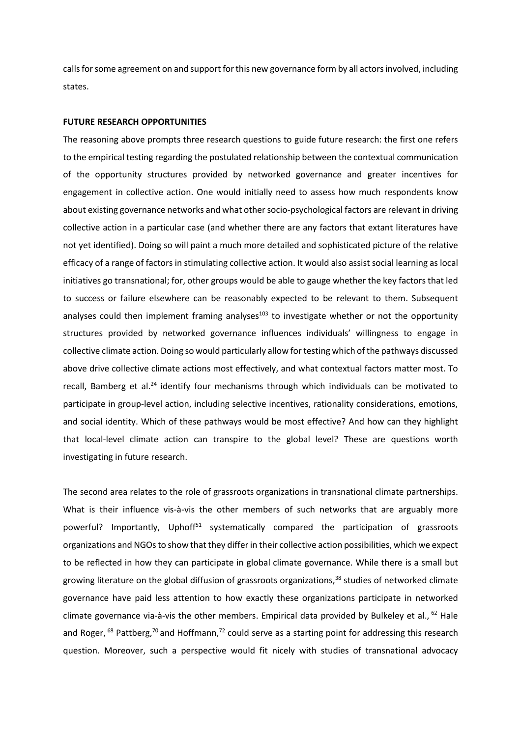calls for some agreement on and support forthis new governance form by all actors involved, including states.

## **FUTURE RESEARCH OPPORTUNITIES**

The reasoning above prompts three research questions to guide future research: the first one refers to the empirical testing regarding the postulated relationship between the contextual communication of the opportunity structures provided by networked governance and greater incentives for engagement in collective action. One would initially need to assess how much respondents know about existing governance networks and what other socio-psychological factors are relevant in driving collective action in a particular case (and whether there are any factors that extant literatures have not yet identified). Doing so will paint a much more detailed and sophisticated picture of the relative efficacy of a range of factors in stimulating collective action. It would also assist social learning as local initiatives go transnational; for, other groups would be able to gauge whether the key factors that led to success or failure elsewhere can be reasonably expected to be relevant to them. Subsequent analyses could then implement framing analyses $103$  to investigate whether or not the opportunity structures provided by networked governance influences individuals' willingness to engage in collective climate action. Doing so would particularly allow fortesting which of the pathways discussed above drive collective climate actions most effectively, and what contextual factors matter most. To recall, Bamberg et al.<sup>24</sup> identify four mechanisms through which individuals can be motivated to participate in group-level action, including selective incentives, rationality considerations, emotions, and social identity. Which of these pathways would be most effective? And how can they highlight that local-level climate action can transpire to the global level? These are questions worth investigating in future research.

The second area relates to the role of grassroots organizations in transnational climate partnerships. What is their influence vis-à-vis the other members of such networks that are arguably more powerful? Importantly, Uphoff<sup>51</sup> systematically compared the participation of grassroots organizations and NGOs to show that they differ in their collective action possibilities, which we expect to be reflected in how they can participate in global climate governance. While there is a small but growing literature on the global diffusion of grassroots organizations,<sup>38</sup> studies of networked climate governance have paid less attention to how exactly these organizations participate in networked climate governance via-à-vis the other members. Empirical data provided by Bulkeley et al., <sup>62</sup> Hale and Roger, <sup>68</sup> Pattberg,<sup>70</sup> and Hoffmann,<sup>72</sup> could serve as a starting point for addressing this research question. Moreover, such a perspective would fit nicely with studies of transnational advocacy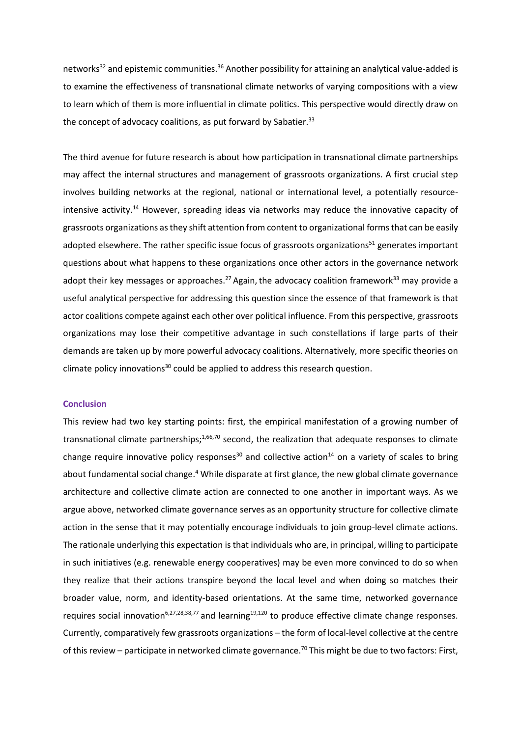networks<sup>32</sup> and epistemic communities.<sup>36</sup> Another possibility for attaining an analytical value-added is to examine the effectiveness of transnational climate networks of varying compositions with a view to learn which of them is more influential in climate politics. This perspective would directly draw on the concept of advocacy coalitions, as put forward by Sabatier. $33$ 

The third avenue for future research is about how participation in transnational climate partnerships may affect the internal structures and management of grassroots organizations. A first crucial step involves building networks at the regional, national or international level, a potentially resourceintensive activity.<sup>14</sup> However, spreading ideas via networks may reduce the innovative capacity of grassroots organizations as they shift attention from content to organizational forms that can be easily adopted elsewhere. The rather specific issue focus of grassroots organizations<sup>51</sup> generates important questions about what happens to these organizations once other actors in the governance network adopt their key messages or approaches.<sup>27</sup> Again, the advocacy coalition framework<sup>33</sup> may provide a useful analytical perspective for addressing this question since the essence of that framework is that actor coalitions compete against each other over political influence. From this perspective, grassroots organizations may lose their competitive advantage in such constellations if large parts of their demands are taken up by more powerful advocacy coalitions. Alternatively, more specific theories on climate policy innovations $30$  could be applied to address this research question.

#### **Conclusion**

This review had two key starting points: first, the empirical manifestation of a growing number of transnational climate partnerships;<sup>1,66,70</sup> second, the realization that adequate responses to climate change require innovative policy responses<sup>30</sup> and collective action<sup>14</sup> on a variety of scales to bring about fundamental social change.<sup>4</sup> While disparate at first glance, the new global climate governance architecture and collective climate action are connected to one another in important ways. As we argue above, networked climate governance serves as an opportunity structure for collective climate action in the sense that it may potentially encourage individuals to join group-level climate actions. The rationale underlying this expectation is that individuals who are, in principal, willing to participate in such initiatives (e.g. renewable energy cooperatives) may be even more convinced to do so when they realize that their actions transpire beyond the local level and when doing so matches their broader value, norm, and identity-based orientations. At the same time, networked governance requires social innovation<sup>6,27,28,38,77</sup> and learning<sup>19,120</sup> to produce effective climate change responses. Currently, comparatively few grassroots organizations – the form of local-level collective at the centre of this review – participate in networked climate governance.<sup>70</sup> This might be due to two factors: First,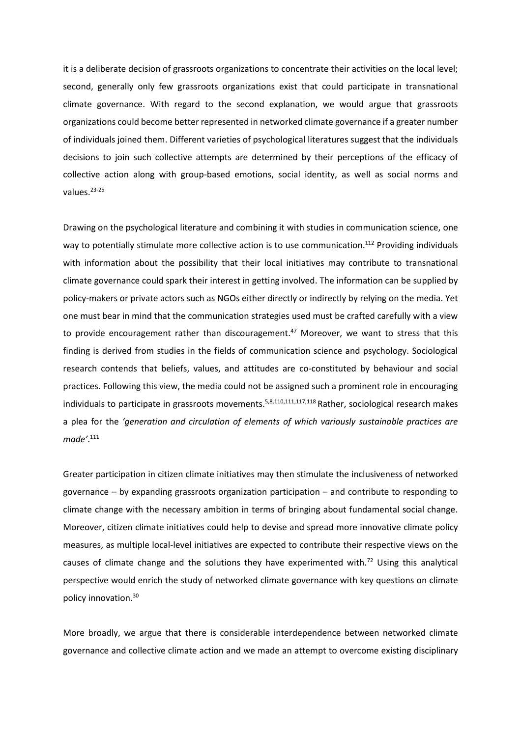it is a deliberate decision of grassroots organizations to concentrate their activities on the local level; second, generally only few grassroots organizations exist that could participate in transnational climate governance. With regard to the second explanation, we would argue that grassroots organizations could become better represented in networked climate governance if a greater number of individuals joined them. Different varieties of psychological literatures suggest that the individuals decisions to join such collective attempts are determined by their perceptions of the efficacy of collective action along with group-based emotions, social identity, as well as social norms and values. 23-25

Drawing on the psychological literature and combining it with studies in communication science, one way to potentially stimulate more collective action is to use communication.<sup>112</sup> Providing individuals with information about the possibility that their local initiatives may contribute to transnational climate governance could spark their interest in getting involved. The information can be supplied by policy-makers or private actors such as NGOs either directly or indirectly by relying on the media. Yet one must bear in mind that the communication strategies used must be crafted carefully with a view to provide encouragement rather than discouragement.<sup>47</sup> Moreover, we want to stress that this finding is derived from studies in the fields of communication science and psychology. Sociological research contends that beliefs, values, and attitudes are co-constituted by behaviour and social practices. Following this view, the media could not be assigned such a prominent role in encouraging individuals to participate in grassroots movements.<sup>5,8,110,111,117,118</sup> Rather, sociological research makes a plea for the *'generation and circulation of elements of which variously sustainable practices are*  made'.<sup>111</sup>

Greater participation in citizen climate initiatives may then stimulate the inclusiveness of networked governance – by expanding grassroots organization participation – and contribute to responding to climate change with the necessary ambition in terms of bringing about fundamental social change. Moreover, citizen climate initiatives could help to devise and spread more innovative climate policy measures, as multiple local-level initiatives are expected to contribute their respective views on the causes of climate change and the solutions they have experimented with.<sup>72</sup> Using this analytical perspective would enrich the study of networked climate governance with key questions on climate policy innovation.<sup>30</sup>

More broadly, we argue that there is considerable interdependence between networked climate governance and collective climate action and we made an attempt to overcome existing disciplinary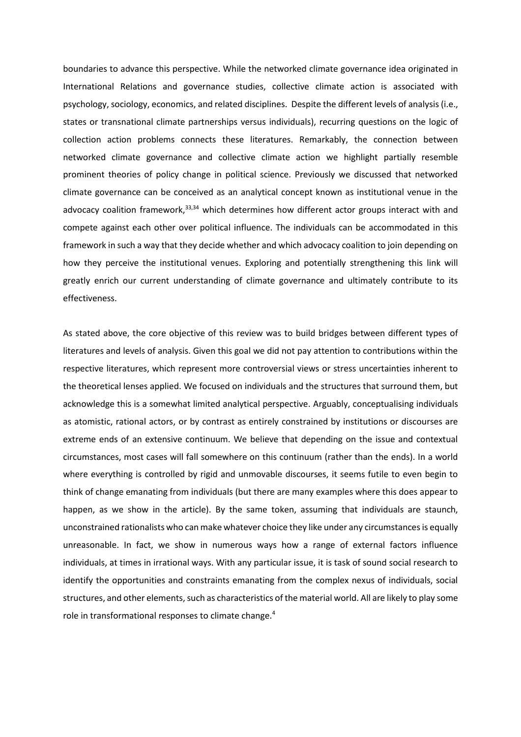boundaries to advance this perspective. While the networked climate governance idea originated in International Relations and governance studies, collective climate action is associated with psychology, sociology, economics, and related disciplines. Despite the different levels of analysis (i.e., states or transnational climate partnerships versus individuals), recurring questions on the logic of collection action problems connects these literatures. Remarkably, the connection between networked climate governance and collective climate action we highlight partially resemble prominent theories of policy change in political science. Previously we discussed that networked climate governance can be conceived as an analytical concept known as institutional venue in the advocacy coalition framework,<sup>33,34</sup> which determines how different actor groups interact with and compete against each other over political influence. The individuals can be accommodated in this framework in such a way that they decide whether and which advocacy coalition to join depending on how they perceive the institutional venues. Exploring and potentially strengthening this link will greatly enrich our current understanding of climate governance and ultimately contribute to its effectiveness.

As stated above, the core objective of this review was to build bridges between different types of literatures and levels of analysis. Given this goal we did not pay attention to contributions within the respective literatures, which represent more controversial views or stress uncertainties inherent to the theoretical lenses applied. We focused on individuals and the structures that surround them, but acknowledge this is a somewhat limited analytical perspective. Arguably, conceptualising individuals as atomistic, rational actors, or by contrast as entirely constrained by institutions or discourses are extreme ends of an extensive continuum. We believe that depending on the issue and contextual circumstances, most cases will fall somewhere on this continuum (rather than the ends). In a world where everything is controlled by rigid and unmovable discourses, it seems futile to even begin to think of change emanating from individuals (but there are many examples where this does appear to happen, as we show in the article). By the same token, assuming that individuals are staunch, unconstrained rationalists who can make whatever choice they like under any circumstances is equally unreasonable. In fact, we show in numerous ways how a range of external factors influence individuals, at times in irrational ways. With any particular issue, it is task of sound social research to identify the opportunities and constraints emanating from the complex nexus of individuals, social structures, and other elements, such as characteristics of the material world. All are likely to play some role in transformational responses to climate change.4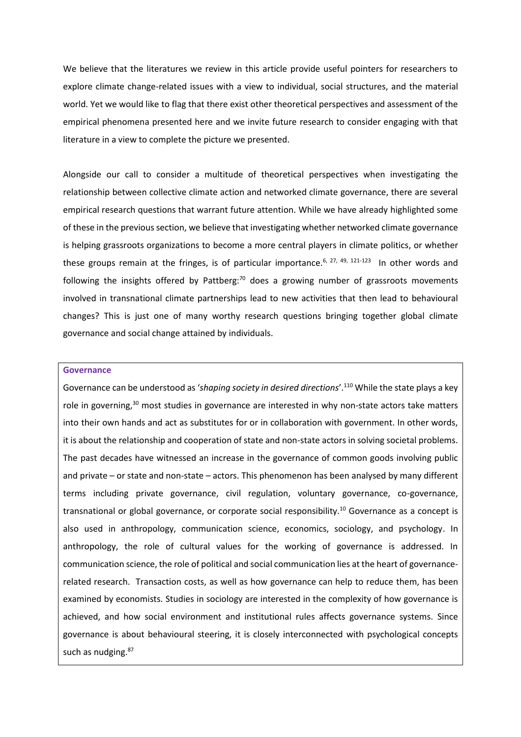We believe that the literatures we review in this article provide useful pointers for researchers to explore climate change-related issues with a view to individual, social structures, and the material world. Yet we would like to flag that there exist other theoretical perspectives and assessment of the empirical phenomena presented here and we invite future research to consider engaging with that literature in a view to complete the picture we presented.

Alongside our call to consider a multitude of theoretical perspectives when investigating the relationship between collective climate action and networked climate governance, there are several empirical research questions that warrant future attention. While we have already highlighted some of these in the previous section, we believe that investigating whether networked climate governance is helping grassroots organizations to become a more central players in climate politics, or whether these groups remain at the fringes, is of particular importance.<sup>6, 27, 49, 121-123</sup> In other words and following the insights offered by Pattberg:<sup>70</sup> does a growing number of grassroots movements involved in transnational climate partnerships lead to new activities that then lead to behavioural changes? This is just one of many worthy research questions bringing together global climate governance and social change attained by individuals.

#### **Governance**

Governance can be understood as '*shaping society in desired directions*'. <sup>110</sup> While the state plays a key role in governing,<sup>30</sup> most studies in governance are interested in why non-state actors take matters into their own hands and act as substitutes for or in collaboration with government. In other words, it is about the relationship and cooperation of state and non-state actors in solving societal problems. The past decades have witnessed an increase in the governance of common goods involving public and private – or state and non-state – actors. This phenomenon has been analysed by many different terms including private governance, civil regulation, voluntary governance, co-governance, transnational or global governance, or corporate social responsibility.<sup>10</sup> Governance as a concept is also used in anthropology, communication science, economics, sociology, and psychology. In anthropology, the role of cultural values for the working of governance is addressed. In communication science, the role of political and social communication lies at the heart of governancerelated research. Transaction costs, as well as how governance can help to reduce them, has been examined by economists. Studies in sociology are interested in the complexity of how governance is achieved, and how social environment and institutional rules affects governance systems. Since governance is about behavioural steering, it is closely interconnected with psychological concepts such as nudging.<sup>87</sup>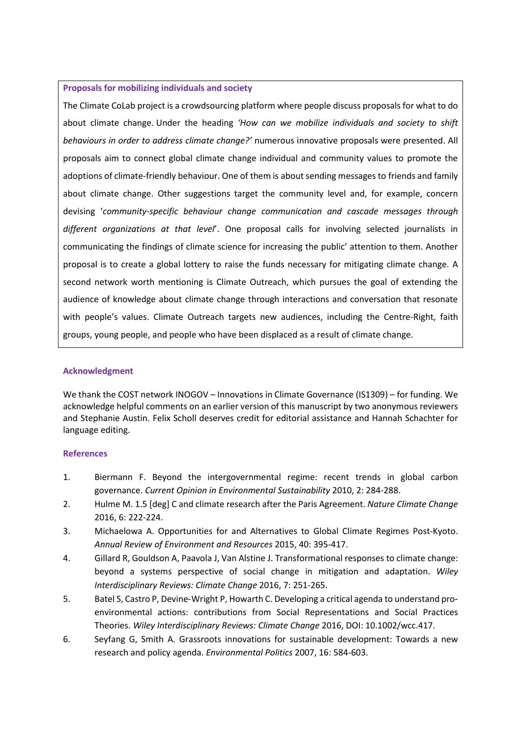## **Proposals for mobilizing individuals and society**

The Climate CoLab project is a crowdsourcing platform where people discuss proposals for what to do about climate change. Under the heading *'How can we mobilize individuals and society to shift behaviours in order to address climate change?'* numerous innovative proposals were presented. All proposals aim to connect global climate change individual and community values to promote the adoptions of climate-friendly behaviour. One of them is about sending messages to friends and family about climate change. Other suggestions target the community level and, for example, concern devising '*community-specific behaviour change communication and cascade messages through different organizations at that level*'. One proposal calls for involving selected journalists in communicating the findings of climate science for increasing the public' attention to them. Another proposal is to create a global lottery to raise the funds necessary for mitigating climate change. A second network worth mentioning is Climate Outreach, which pursues the goal of extending the audience of knowledge about climate change through interactions and conversation that resonate with people's values. Climate Outreach targets new audiences, including the Centre-Right, faith groups, young people, and people who have been displaced as a result of climate change.

# **Acknowledgment**

We thank the COST network INOGOV – Innovations in Climate Governance (IS1309) – for funding. We acknowledge helpful comments on an earlier version of this manuscript by two anonymous reviewers and Stephanie Austin. Felix Scholl deserves credit for editorial assistance and Hannah Schachter for language editing.

# **References**

- 1. Biermann F. Beyond the intergovernmental regime: recent trends in global carbon governance. *Current Opinion in Environmental Sustainability* 2010, 2: 284-288.
- 2. Hulme M. 1.5 [deg] C and climate research after the Paris Agreement. *Nature Climate Change* 2016, 6: 222-224.
- 3. Michaelowa A. Opportunities for and Alternatives to Global Climate Regimes Post-Kyoto. *Annual Review of Environment and Resources* 2015, 40: 395-417.
- 4. Gillard R, Gouldson A, Paavola J, Van Alstine J. Transformational responses to climate change: beyond a systems perspective of social change in mitigation and adaptation. *Wiley Interdisciplinary Reviews: Climate Change* 2016, 7: 251-265.
- 5. Batel S, Castro P, Devine‐Wright P, Howarth C. Developing a critical agenda to understand pro‐ environmental actions: contributions from Social Representations and Social Practices Theories. *Wiley Interdisciplinary Reviews: Climate Change* 2016, DOI: 10.1002/wcc.417.
- 6. Seyfang G, Smith A. Grassroots innovations for sustainable development: Towards a new research and policy agenda. *Environmental Politics* 2007, 16: 584-603.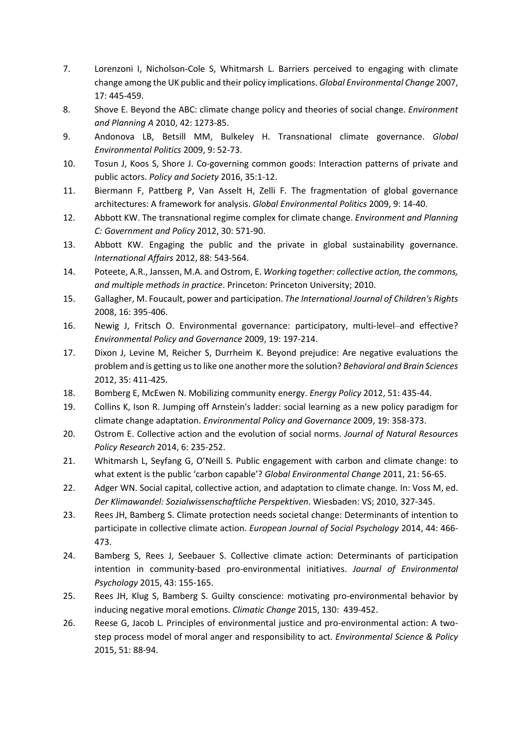- 7. Lorenzoni I, Nicholson-Cole S, Whitmarsh L. Barriers perceived to engaging with climate change among the UK public and their policy implications. *Global Environmental Change* 2007, 17: 445-459.
- 8. Shove E. Beyond the ABC: climate change policy and theories of social change. *Environment and Planning A* 2010, 42: 1273-85.
- 9. Andonova LB, Betsill MM, Bulkeley H. Transnational climate governance. *Global Environmental Politics* 2009, 9: 52-73.
- 10. Tosun J, Koos S, Shore J. Co-governing common goods: Interaction patterns of private and public actors. *Policy and Society* 2016, 35:1-12.
- 11. Biermann F, Pattberg P, Van Asselt H, Zelli F. The fragmentation of global governance architectures: A framework for analysis. *Global Environmental Politics* 2009, 9: 14-40.
- 12. Abbott KW. The transnational regime complex for climate change. *Environment and Planning C: Government and Policy* 2012, 30: 571-90.
- 13. Abbott KW. Engaging the public and the private in global sustainability governance. *International Affairs* 2012, 88: 543-564.
- 14. Poteete, A.R., Janssen, M.A. and Ostrom, E. *Working together: collective action, the commons, and multiple methods in practice*. Princeton: Princeton University; 2010.
- 15. Gallagher, M. Foucault, power and participation. *The International Journal of Children's Rights* 2008, 16: 395-406.
- 16. Newig J, Fritsch O. Environmental governance: participatory, multi-level–and effective? *Environmental Policy and Governance* 2009, 19: 197-214.
- 17. Dixon J, Levine M, Reicher S, Durrheim K. Beyond prejudice: Are negative evaluations the problem and is getting usto like one another more the solution? *Behavioral and Brain Sciences* 2012, 35: 411-425.
- 18. Bomberg E, McEwen N. Mobilizing community energy. *Energy Policy* 2012, 51: 435-44.
- 19. Collins K, Ison R. Jumping off Arnstein's ladder: social learning as a new policy paradigm for climate change adaptation. *Environmental Policy and Governance* 2009, 19: 358-373.
- 20. Ostrom E. Collective action and the evolution of social norms. *Journal of Natural Resources Policy Research* 2014, 6: 235-252.
- 21. Whitmarsh L, Seyfang G, O'Neill S. Public engagement with carbon and climate change: to what extent is the public 'carbon capable'? *Global Environmental Change* 2011, 21: 56-65.
- 22. Adger WN. Social capital, collective action, and adaptation to climate change. In: Voss M, ed. *Der Klimawandel: Sozialwissenschaftliche Perspektiven*. Wiesbaden: VS; 2010, 327-345.
- 23. Rees JH, Bamberg S. Climate protection needs societal change: Determinants of intention to participate in collective climate action. *European Journal of Social Psychology* 2014, 44: 466- 473.
- 24. Bamberg S, Rees J, Seebauer S. Collective climate action: Determinants of participation intention in community-based pro-environmental initiatives. *Journal of Environmental Psychology* 2015, 43: 155-165.
- 25. Rees JH, Klug S, Bamberg S. Guilty conscience: motivating pro-environmental behavior by inducing negative moral emotions. *Climatic Change* 2015, 130: 439-452.
- 26. Reese G, Jacob L. Principles of environmental justice and pro-environmental action: A twostep process model of moral anger and responsibility to act. *Environmental Science & Policy* 2015, 51: 88-94.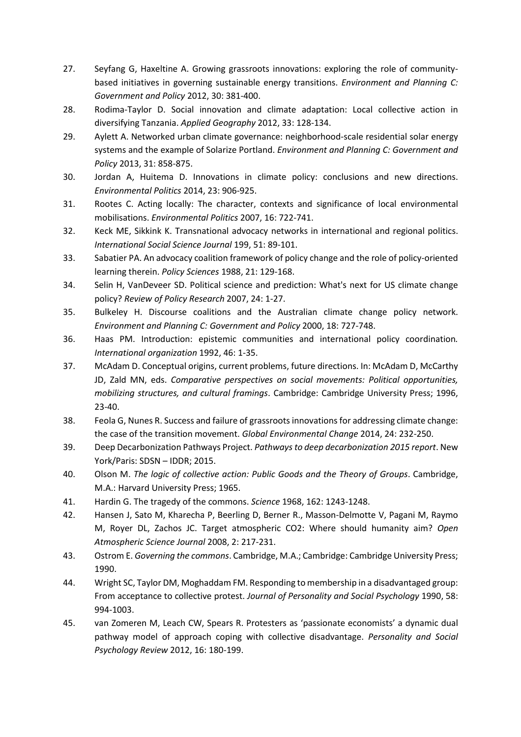- 27. Seyfang G, Haxeltine A. Growing grassroots innovations: exploring the role of communitybased initiatives in governing sustainable energy transitions. *Environment and Planning C: Government and Policy* 2012, 30: 381-400.
- 28. Rodima-Taylor D. Social innovation and climate adaptation: Local collective action in diversifying Tanzania. *Applied Geography* 2012, 33: 128-134.
- 29. Aylett A. Networked urban climate governance: neighborhood-scale residential solar energy systems and the example of Solarize Portland. *Environment and Planning C: Government and Policy* 2013, 31: 858-875.
- 30. Jordan A, Huitema D. Innovations in climate policy: conclusions and new directions. *Environmental Politics* 2014, 23: 906-925.
- 31. Rootes C. Acting locally: The character, contexts and significance of local environmental mobilisations. *Environmental Politics* 2007, 16: 722-741.
- 32. Keck ME, Sikkink K. Transnational advocacy networks in international and regional politics. *International Social Science Journal* 199, 51: 89-101.
- 33. Sabatier PA. An advocacy coalition framework of policy change and the role of policy-oriented learning therein. *Policy Sciences* 1988, 21: 129-168.
- 34. Selin H, VanDeveer SD. Political science and prediction: What's next for US climate change policy? *Review of Policy Research* 2007, 24: 1-27.
- 35. Bulkeley H. Discourse coalitions and the Australian climate change policy network. *Environment and Planning C: Government and Policy* 2000, 18: 727-748.
- 36. Haas PM. Introduction: epistemic communities and international policy coordination*. International organization* 1992, 46: 1-35.
- 37. McAdam D. Conceptual origins, current problems, future directions. In: McAdam D, McCarthy JD, Zald MN, eds. *Comparative perspectives on social movements: Political opportunities, mobilizing structures, and cultural framings*. Cambridge: Cambridge University Press; 1996, 23-40.
- 38. Feola G, Nunes R. Success and failure of grassrootsinnovationsfor addressing climate change: the case of the transition movement. *Global Environmental Change* 2014, 24: 232-250.
- 39. Deep Decarbonization Pathways Project. *Pathways to deep decarbonization 2015 report*. New York/Paris: SDSN – IDDR; 2015.
- 40. Olson M. *The logic of collective action: Public Goods and the Theory of Groups*. Cambridge, M.A.: Harvard University Press; 1965.
- 41. Hardin G. The tragedy of the commons. *Science* 1968, 162: 1243-1248.
- 42. Hansen J, Sato M, Kharecha P, Beerling D, Berner R., Masson-Delmotte V, Pagani M, Raymo M, Royer DL, Zachos JC. Target atmospheric CO2: Where should humanity aim? *Open Atmospheric Science Journal* 2008, 2: 217-231.
- 43. Ostrom E. *Governing the commons*. Cambridge, M.A.; Cambridge: Cambridge University Press; 1990.
- 44. Wright SC, Taylor DM, Moghaddam FM. Responding to membership in a disadvantaged group: From acceptance to collective protest. *Journal of Personality and Social Psychology* 1990, 58: 994-1003.
- 45. van Zomeren M, Leach CW, Spears R. Protesters as 'passionate economists' a dynamic dual pathway model of approach coping with collective disadvantage. *Personality and Social Psychology Review* 2012, 16: 180-199.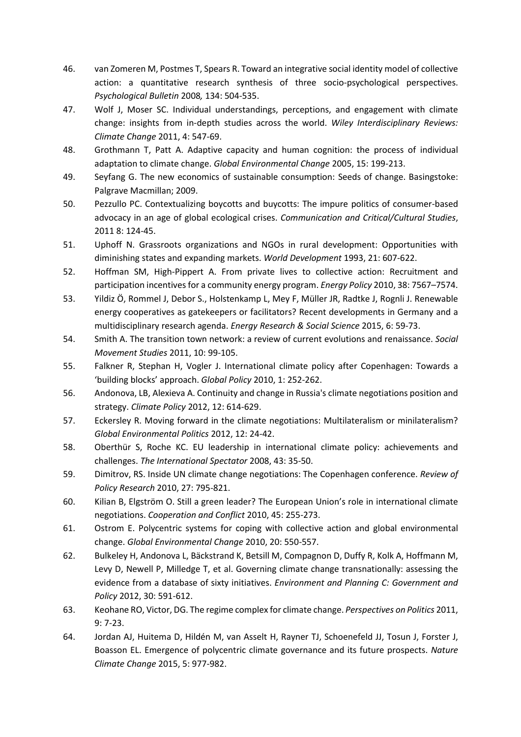- 46. van Zomeren M, Postmes T, Spears R. Toward an integrative social identity model of collective action: a quantitative research synthesis of three socio-psychological perspectives. *Psychological Bulletin* 2008*,* 134: 504-535.
- 47. Wolf J, Moser SC. Individual understandings, perceptions, and engagement with climate change: insights from in‐depth studies across the world. *Wiley Interdisciplinary Reviews: Climate Change* 2011, 4: 547-69.
- 48. Grothmann T, Patt A. Adaptive capacity and human cognition: the process of individual adaptation to climate change. *Global Environmental Change* 2005, 15: 199-213.
- 49. Seyfang G. The new economics of sustainable consumption: Seeds of change. Basingstoke: Palgrave Macmillan; 2009.
- 50. Pezzullo PC. Contextualizing boycotts and buycotts: The impure politics of consumer-based advocacy in an age of global ecological crises. *Communication and Critical/Cultural Studies*, 2011 8: 124-45.
- 51. Uphoff N. Grassroots organizations and NGOs in rural development: Opportunities with diminishing states and expanding markets. *World Development* 1993, 21: 607-622.
- 52. Hoffman SM, High-Pippert A. From private lives to collective action: Recruitment and participation incentivesfor a community energy program. *Energy Policy* 2010, 38: 7567–7574.
- 53. Yildiz Ö, Rommel J, Debor S., Holstenkamp L, Mey F, Müller JR, Radtke J, Rognli J. Renewable energy cooperatives as gatekeepers or facilitators? Recent developments in Germany and a multidisciplinary research agenda. *Energy Research & Social Science* 2015, 6: 59-73.
- 54. Smith A. The transition town network: a review of current evolutions and renaissance. *Social Movement Studies* 2011, 10: 99-105.
- 55. Falkner R, Stephan H, Vogler J. International climate policy after Copenhagen: Towards a 'building blocks' approach. *Global Policy* 2010, 1: 252-262.
- 56. Andonova, LB, Alexieva A. Continuity and change in Russia's climate negotiations position and strategy. *Climate Policy* 2012, 12: 614-629.
- 57. Eckersley R. Moving forward in the climate negotiations: Multilateralism or minilateralism? *Global Environmental Politics* 2012, 12: 24-42.
- 58. Oberthür S, Roche KC. EU leadership in international climate policy: achievements and challenges. *The International Spectator* 2008, 43: 35-50.
- 59. Dimitrov, RS. Inside UN climate change negotiations: The Copenhagen conference. *Review of Policy Research* 2010, 27: 795-821.
- 60. Kilian B, Elgström O. Still a green leader? The European Union's role in international climate negotiations. *Cooperation and Conflict* 2010, 45: 255-273.
- 61. Ostrom E. Polycentric systems for coping with collective action and global environmental change. *Global Environmental Change* 2010, 20: 550-557.
- 62. Bulkeley H, Andonova L, Bäckstrand K, Betsill M, Compagnon D, Duffy R, Kolk A, Hoffmann M, Levy D, Newell P, Milledge T, et al. Governing climate change transnationally: assessing the evidence from a database of sixty initiatives. *Environment and Planning C: Government and Policy* 2012, 30: 591-612.
- 63. Keohane RO, Victor, DG. The regime complex for climate change. *Perspectives on Politics* 2011, 9: 7-23.
- 64. Jordan AJ, Huitema D, Hildén M, van Asselt H, Rayner TJ, Schoenefeld JJ, Tosun J, Forster J, Boasson EL. Emergence of polycentric climate governance and its future prospects. *Nature Climate Change* 2015, 5: 977-982.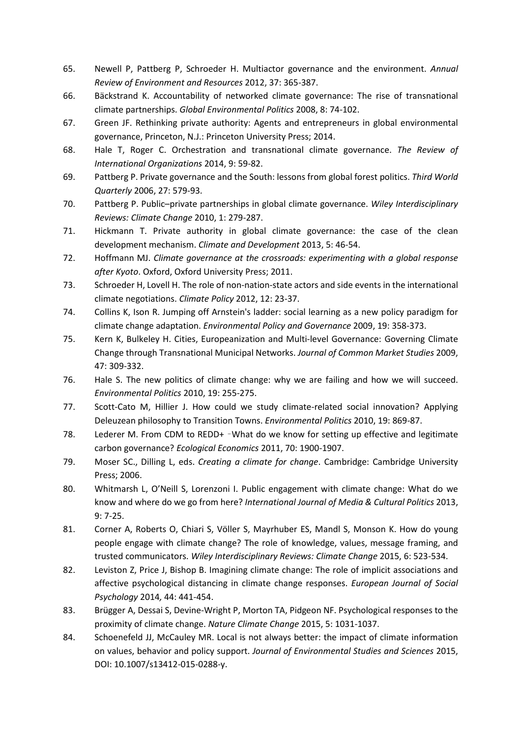- 65. Newell P, Pattberg P, Schroeder H. Multiactor governance and the environment. *Annual Review of Environment and Resources* 2012, 37: 365-387.
- 66. Bäckstrand K. Accountability of networked climate governance: The rise of transnational climate partnerships. *Global Environmental Politics* 2008, 8: 74-102.
- 67. Green JF. Rethinking private authority: Agents and entrepreneurs in global environmental governance, Princeton, N.J.: Princeton University Press; 2014.
- 68. Hale T, Roger C. Orchestration and transnational climate governance. *The Review of International Organizations* 2014, 9: 59-82.
- 69. Pattberg P. Private governance and the South: lessons from global forest politics. *Third World Quarterly* 2006, 27: 579-93.
- 70. Pattberg P. Public–private partnerships in global climate governance. *Wiley Interdisciplinary Reviews: Climate Change* 2010, 1: 279-287.
- 71. Hickmann T. Private authority in global climate governance: the case of the clean development mechanism. *Climate and Development* 2013, 5: 46-54.
- 72. Hoffmann MJ. *Climate governance at the crossroads: experimenting with a global response after Kyoto*. Oxford, Oxford University Press; 2011.
- 73. Schroeder H, Lovell H. The role of non-nation-state actors and side events in the international climate negotiations. *Climate Policy* 2012, 12: 23-37.
- 74. Collins K, Ison R. Jumping off Arnstein's ladder: social learning as a new policy paradigm for climate change adaptation. *Environmental Policy and Governance* 2009, 19: 358-373.
- 75. Kern K, Bulkeley H. Cities, Europeanization and Multi-level Governance: Governing Climate Change through Transnational Municipal Networks. *Journal of Common Market Studies* 2009, 47: 309-332.
- 76. Hale S. The new politics of climate change: why we are failing and how we will succeed. *Environmental Politics* 2010, 19: 255-275.
- 77. Scott-Cato M, Hillier J. How could we study climate-related social innovation? Applying Deleuzean philosophy to Transition Towns. *Environmental Politics* 2010, 19: 869-87.
- 78. Lederer M. From CDM to REDD+ –What do we know for setting up effective and legitimate carbon governance? *Ecological Economics* 2011, 70: 1900-1907.
- 79. Moser SC., Dilling L, eds. *Creating a climate for change*. Cambridge: Cambridge University Press; 2006.
- 80. Whitmarsh L, O'Neill S, Lorenzoni I. Public engagement with climate change: What do we know and where do we go from here? *International Journal of Media & Cultural Politics* 2013, 9: 7-25.
- 81. Corner A, Roberts O, Chiari S, Völler S, Mayrhuber ES, Mandl S, Monson K. How do young people engage with climate change? The role of knowledge, values, message framing, and trusted communicators. *Wiley Interdisciplinary Reviews: Climate Change* 2015, 6: 523-534.
- 82. Leviston Z, Price J, Bishop B. Imagining climate change: The role of implicit associations and affective psychological distancing in climate change responses. *European Journal of Social Psychology* 2014*,* 44: 441-454.
- 83. Brügger A, Dessai S, Devine-Wright P, Morton TA, Pidgeon NF. Psychological responses to the proximity of climate change. *Nature Climate Change* 2015, 5: 1031-1037.
- 84. Schoenefeld JJ, McCauley MR. Local is not always better: the impact of climate information on values, behavior and policy support. *Journal of Environmental Studies and Sciences* 2015, DOI: 10.1007/s13412-015-0288-y.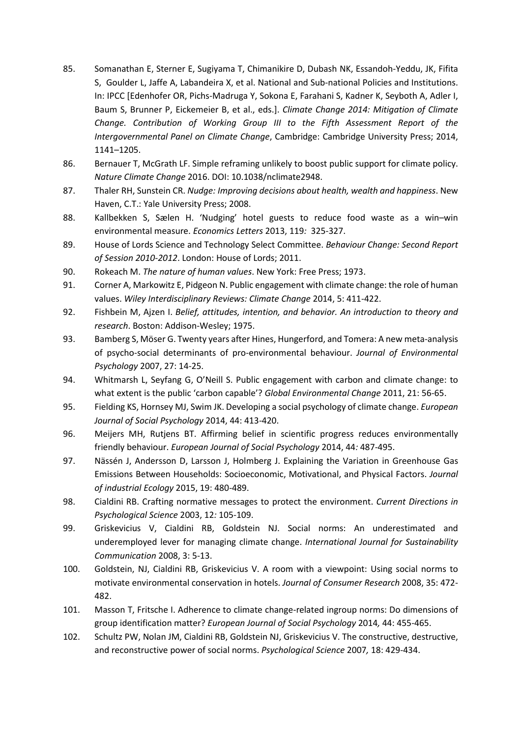- 85. Somanathan E, Sterner E, Sugiyama T, Chimanikire D, Dubash NK, Essandoh-Yeddu, JK, Fifita S, Goulder L, Jaffe A, Labandeira X, et al. National and Sub-national Policies and Institutions. In: IPCC [Edenhofer OR, Pichs-Madruga Y, Sokona E, Farahani S, Kadner K, Seyboth A, Adler I, Baum S, Brunner P, Eickemeier B, et al., eds.]. *Climate Change 2014: Mitigation of Climate Change. Contribution of Working Group III to the Fifth Assessment Report of the Intergovernmental Panel on Climate Change*, Cambridge: Cambridge University Press; 2014, 1141–1205.
- 86. Bernauer T, McGrath LF. Simple reframing unlikely to boost public support for climate policy. *Nature Climate Change* 2016. DOI: 10.1038/nclimate2948.
- 87. Thaler RH, Sunstein CR. *Nudge: Improving decisions about health, wealth and happiness*. New Haven, C.T.: Yale University Press; 2008.
- 88. Kallbekken S, Sælen H. 'Nudging' hotel guests to reduce food waste as a win–win environmental measure. *Economics Letters* 2013, 119*:* 325-327.
- 89. House of Lords Science and Technology Select Committee. *Behaviour Change: Second Report of Session 2010-2012*. London: House of Lords; 2011.
- 90. Rokeach M. *The nature of human values*. New York: Free Press; 1973.
- 91. Corner A, Markowitz E, Pidgeon N. Public engagement with climate change: the role of human values. *Wiley Interdisciplinary Reviews: Climate Change* 2014, 5: 411-422.
- 92. Fishbein M, Ajzen I. *Belief, attitudes, intention, and behavior. An introduction to theory and research*. Boston: Addison-Wesley; 1975.
- 93. Bamberg S, Möser G. Twenty years after Hines, Hungerford, and Tomera: A new meta-analysis of psycho-social determinants of pro-environmental behaviour. *Journal of Environmental Psychology* 2007, 27: 14-25.
- 94. Whitmarsh L, Seyfang G, O'Neill S. Public engagement with carbon and climate change: to what extent is the public 'carbon capable'? *Global Environmental Change* 2011, 21: 56-65.
- 95. Fielding KS, Hornsey MJ, Swim JK. Developing a social psychology of climate change. *European Journal of Social Psychology* 2014, 44: 413-420.
- 96. Meijers MH, Rutjens BT. Affirming belief in scientific progress reduces environmentally friendly behaviour. *European Journal of Social Psychology* 2014, 44*:* 487-495.
- 97. Nässén J, Andersson D, Larsson J, Holmberg J. Explaining the Variation in Greenhouse Gas Emissions Between Households: Socioeconomic, Motivational, and Physical Factors. *Journal of industrial Ecology* 2015, 19: 480-489.
- 98. Cialdini RB. Crafting normative messages to protect the environment. *Current Directions in Psychological Science* 2003, 12*:* 105-109.
- 99. Griskevicius V, Cialdini RB, Goldstein NJ. Social norms: An underestimated and underemployed lever for managing climate change. *International Journal for Sustainability Communication* 2008, 3: 5-13.
- 100. Goldstein, NJ, Cialdini RB, Griskevicius V. A room with a viewpoint: Using social norms to motivate environmental conservation in hotels. *Journal of Consumer Research* 2008, 35: 472- 482.
- 101. Masson T, Fritsche I. Adherence to climate change-related ingroup norms: Do dimensions of group identification matter? *European Journal of Social Psychology* 2014*,* 44: 455-465.
- 102. Schultz PW, Nolan JM, Cialdini RB, Goldstein NJ, Griskevicius V. The constructive, destructive, and reconstructive power of social norms. *Psychological Science* 2007*,* 18: 429-434.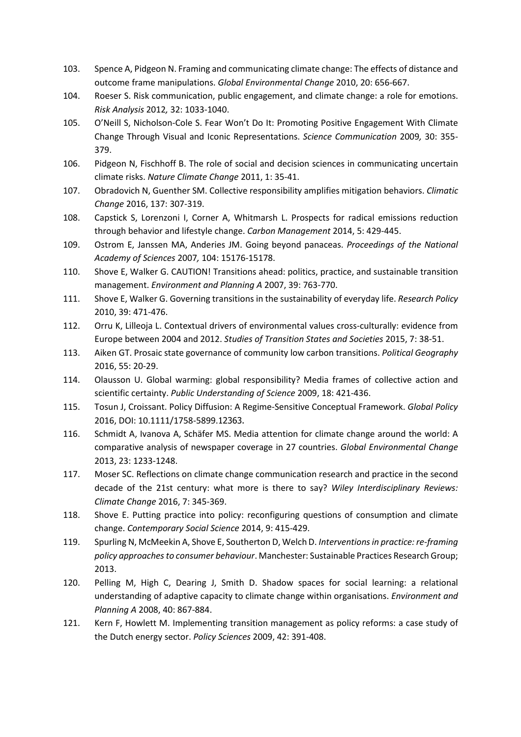- 103. Spence A, Pidgeon N. Framing and communicating climate change: The effects of distance and outcome frame manipulations. *Global Environmental Change* 2010, 20: 656-667.
- 104. Roeser S. Risk communication, public engagement, and climate change: a role for emotions. *Risk Analysis* 2012*,* 32: 1033-1040.
- 105. O'Neill S, Nicholson-Cole S. Fear Won't Do It: Promoting Positive Engagement With Climate Change Through Visual and Iconic Representations. *Science Communication* 2009*,* 30: 355- 379.
- 106. Pidgeon N, Fischhoff B. The role of social and decision sciences in communicating uncertain climate risks. *Nature Climate Change* 2011, 1: 35-41.
- 107. Obradovich N, Guenther SM. Collective responsibility amplifies mitigation behaviors. *Climatic Change* 2016, 137: 307-319.
- 108. Capstick S, Lorenzoni I, Corner A, Whitmarsh L. Prospects for radical emissions reduction through behavior and lifestyle change. *Carbon Management* 2014, 5: 429-445.
- 109. Ostrom E, Janssen MA, Anderies JM. Going beyond panaceas. *Proceedings of the National Academy of Sciences* 2007*,* 104: 15176-15178.
- 110. Shove E, Walker G. CAUTION! Transitions ahead: politics, practice, and sustainable transition management. *Environment and Planning A* 2007, 39: 763-770.
- 111. Shove E, Walker G. Governing transitions in the sustainability of everyday life. *Research Policy* 2010, 39: 471-476.
- 112. Orru K, Lilleoja L. Contextual drivers of environmental values cross-culturally: evidence from Europe between 2004 and 2012. *Studies of Transition States and Societies* 2015, 7: 38-51.
- 113. Aiken GT. Prosaic state governance of community low carbon transitions. *Political Geography* 2016, 55: 20-29.
- 114. Olausson U. Global warming: global responsibility? Media frames of collective action and scientific certainty. *Public Understanding of Science* 2009, 18: 421-436.
- 115. Tosun J, Croissant. Policy Diffusion: A Regime-Sensitive Conceptual Framework. *Global Policy* 2016, DOI: 10.1111/1758-5899.12363.
- 116. Schmidt A, Ivanova A, Schäfer MS. Media attention for climate change around the world: A comparative analysis of newspaper coverage in 27 countries. *Global Environmental Change* 2013, 23: 1233-1248.
- 117. Moser SC. Reflections on climate change communication research and practice in the second decade of the 21st century: what more is there to say? *Wiley Interdisciplinary Reviews: Climate Change* 2016, 7: 345-369.
- 118. Shove E. Putting practice into policy: reconfiguring questions of consumption and climate change. *Contemporary Social Science* 2014, 9: 415-429.
- 119. Spurling N, McMeekin A, Shove E, Southerton D, Welch D. *Interventionsin practice: re-framing policy approachesto consumer behaviour*. Manchester: Sustainable Practices Research Group; 2013.
- 120. Pelling M, High C, Dearing J, Smith D. Shadow spaces for social learning: a relational understanding of adaptive capacity to climate change within organisations. *Environment and Planning A* 2008, 40: 867-884.
- 121. Kern F, Howlett M. Implementing transition management as policy reforms: a case study of the Dutch energy sector. *Policy Sciences* 2009, 42: 391-408.